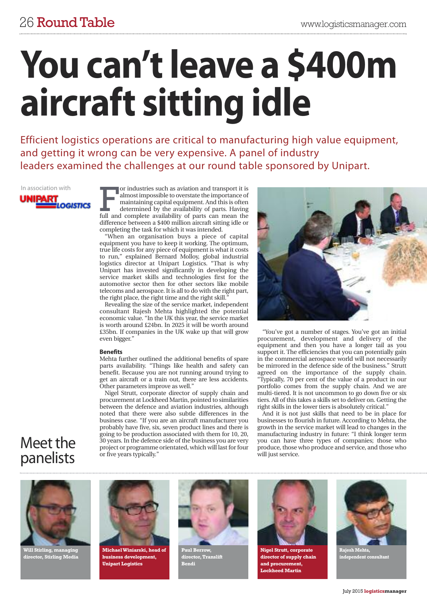# **You can'tleave a \$400m aircraft sitting idle**

Efficient logistics operations are critical to manufacturing high value equipment, and getting it wrong can be very expensive. A panel of industry leaders examined the challenges at our round table sponsored by Unipart.

### In association with**UNIPART**

**OGISTICS** 

or industries such as aviation and transport it is<br>almost impossible to overstate the importance of<br>maintaining capital equipment. And this is often<br>determined by the availability of parts. Having<br>full and complete availab or industries such as aviation and transport it is almostimpossible to overstate the importance of maintaining capital equipment. And this is often determined by the availability of parts. Having difference between a \$400 million aircraft sitting idle or completing the task for which it was intended.

"When an organisation buys a piece of capital equipment you have to keep it working. The optimum, true life costs for any piece of equipment is what it costs to run," explained Bernard Molloy, global industrial logistics director at Unipart Logistics. "That is why Unipart has invested significantly in developing the service market skills and technologies first for the automotive sector then for other sectors like mobile telecoms and aerospace. It is all to do with the right part, the right place, the right time and the right skill.

Revealing the size of the service market, independent consultant Rajesh Mehta highlighted the potential economic value. "In the UK this year, the service market is worth around £24bn. In 2025 it will be worth around £35bn. If companies in the UK wake up that will grow even bigger."

### **Benefits**

Mehta further outlined the additional benefits of spare parts availability. "Things like health and safety can benefit. Because you are not running around trying to get an aircraft or a train out, there are less accidents. Other parameters improve as well."

Nigel Strutt, corporate director of supply chain and procurement at Lockheed Martin, pointed to similarities between the defence and aviation industries, although noted that there were also subtle differences in the business case. "If you are an aircraft manufacturer you probably have five, six, seven product lines and there is going to be production associated with them for 10, 20, 30 years. In the defence side of the business you are very project or programme orientated, which will last forfour or five years typically."



"You've got a number of stages. You've got an initial procurement, development and delivery of the equipment and then you have a longer tail as you support it. The efficiencies that you can potentially gain in the commercial aerospace world will not necessarily be mirrored in the defence side of the business." Strutt agreed on the importance of the supply chain. "Typically, 70 per cent of the value of a product in our portfolio comes from the supply chain. And we are multi-tiered. It is not uncommon to go down five or six tiers. All of this takes a skills set to deliver on. Getting the right skills in the lower tiers is absolutely critical."

And it is not just skills that need to be in place for businesses to flourish in future. According to Mehta, the growth in the service market will lead to changes in the manufacturing industry in future: "I think longer term you can have three types of companies; those who produce, those who produce and service, and those who will just service.

## Meet the panelists



**Will Stirling, managing director, Stirling Media**



**MichaelWiniarski, head of business development, Unipart Logistics**



**Paul Berrow, director,Translift Bendi**



**Nigel Strutt, corporate director of supply chain and procurement, Lockheed Martin**



**Rajesh Mehta, independent consultant**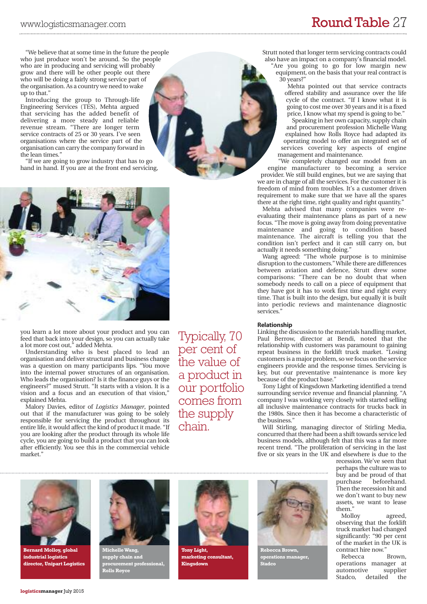# www.logisticsmanager.com **RoundTable** 27

"We believe that at some time in the future the people who just produce won't be around. So the people who are in producing and servicing will probably grow and there will be other people out there who will be doing a fairly strong service part of the organisation. As a country we need to wake up to that.'

Introducing the group to Through-life Engineering Services (TES), Mehta argued that servicing has the added benefit of delivering a more steady and reliable revenue stream. "There are longer term service contracts of 25 or 30 years. I've seen organisations where the service part of the organisation can carry the company forward in the lean times."

"If we are going to grow industry that has to go hand in hand. If you are at the front end servicing,



you learn a lot more about your product and you can feed that back into your design, so you can actually take a lot more cost out," added Mehta.

Understanding who is best placed to lead an organisation and deliver structural and business change was a question on many participants lips. "You move into the internal power structures of an organisation. Who leads the organisation? Is it the finance guys or the engineers?" mused Strutt. "It starts with a vision. It is a vision and a focus and an execution of that vision," explained Mehta.

Malory Davies, editor of *Logistics Manager*, pointed out that if the manufacturer was going to be solely responsible for servicing the product throughout its entire life, it would affect the kind of product it made. "If you are looking after the product through its whole life cycle, you are going to build a product that you can look after efficiently. You see this in the commercial vehicle market."

Typically, 70 per cent of the value of a product in our portfolio comes from the supply chain.

Strutt noted that longer term servicing contracts could also have an impact on a company's financial model. "Are you going to go for low margin new equipment, on the basis that your real contract is 30 years?"

Mehta pointed out that service contracts offered stability and assurance over the life cycle of the contract. "If I know what it is going to cost me over 30 years and it is a fixed price, I know what my spend is going to be."

Speaking in her own capacity, supply chain and procurement profession Michelle Wang explained how Rolls Royce had adapted its operating model to offer an integrated set of services covering key aspects of engine management and maintenance.

"We completely changed our model from an engine manufacturer to becoming a service provider. We still build engines, but we are saying that we are in charge of all the services. For the customer it is freedom of mind from troubles. It's a customer driven requirement to make sure that we have all the spares there at the right time, right quality and right quantity."

Mehta advised that many companies were reevaluating their maintenance plans as part of a new focus. "The move is going away from doing preventative maintenance and going to condition based maintenance. The aircraft is telling you that the condition isn't perfect and it can still carry on, but actually it needs something doing."

Wang agreed: "The whole purpose is to minimise disruption to the customers."While there are differences between aviation and defence, Strutt drew some comparisons: "There can be no doubt that when somebody needs to call on a piece of equipment that they have got it has to work first time and right every time. That is built into the design, but equally it is built into periodic reviews and maintenance diagnostic services.'

### **Relationship**

Linking the discussion to the materials handling market, Paul Berrow, director at Bendi, noted that the relationship with customers was paramount to gaining repeat business in the forklift truck market. "Losing customers is a major problem, so we focus on the service engineers provide and the response times. Servicing is key, but our preventative maintenance is more key because of the product base."

Tony Light of Kingsdown Marketing identified a trend surrounding service revenue and financial planning. "A company I was working very closely with started selling all inclusive maintenance contracts for trucks back in the 1980s. Since then it has become a characteristic of the business."

Will Stirling, managing director of Stirling Media, concurred that there had been a shift towards service led business models, although felt that this was a far more recent trend. "The proliferation of servicing in the last five or six years in the UK and elsewhere is due to the

**Bernard Molloy, global industrial logistics director, Unipart Logistics**



**MichelleWang, supply chain and procurement professional, Rolls Royce**



**Tony Light, marketing** con **Kingsdown**



**Rebecca Brown, operations manager, Stadco**

recession. We've seen that perhaps the culture was to buy and be proud of that purchase beforehand. Then the recession hit and we don't want to buy new assets, we want to lease them."

Molloy agreed, observing that the forklift truck market had changed significantly: "90 per cent of the market in the UK is contract hire now."

Rebecca Brown, operations manager at automotive Stadco, detailed the